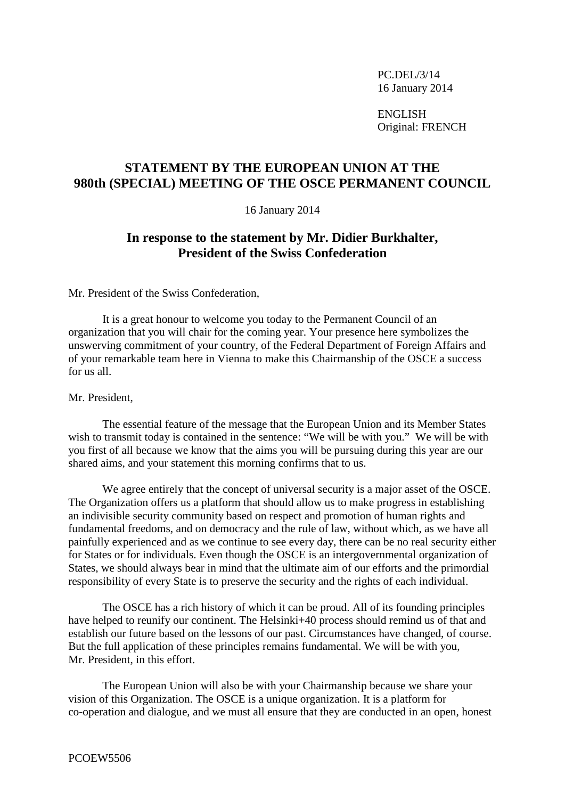PC.DEL/3/14 16 January 2014

ENGLISH Original: FRENCH

## **STATEMENT BY THE EUROPEAN UNION AT THE 980th (SPECIAL) MEETING OF THE OSCE PERMANENT COUNCIL**

16 January 2014

## **In response to the statement by Mr. Didier Burkhalter, President of the Swiss Confederation**

Mr. President of the Swiss Confederation,

It is a great honour to welcome you today to the Permanent Council of an organization that you will chair for the coming year. Your presence here symbolizes the unswerving commitment of your country, of the Federal Department of Foreign Affairs and of your remarkable team here in Vienna to make this Chairmanship of the OSCE a success for us all.

## Mr. President,

The essential feature of the message that the European Union and its Member States wish to transmit today is contained in the sentence: "We will be with you." We will be with you first of all because we know that the aims you will be pursuing during this year are our shared aims, and your statement this morning confirms that to us.

We agree entirely that the concept of universal security is a major asset of the OSCE. The Organization offers us a platform that should allow us to make progress in establishing an indivisible security community based on respect and promotion of human rights and fundamental freedoms, and on democracy and the rule of law, without which, as we have all painfully experienced and as we continue to see every day, there can be no real security either for States or for individuals. Even though the OSCE is an intergovernmental organization of States, we should always bear in mind that the ultimate aim of our efforts and the primordial responsibility of every State is to preserve the security and the rights of each individual.

The OSCE has a rich history of which it can be proud. All of its founding principles have helped to reunify our continent. The Helsinki+40 process should remind us of that and establish our future based on the lessons of our past. Circumstances have changed, of course. But the full application of these principles remains fundamental. We will be with you, Mr. President, in this effort.

The European Union will also be with your Chairmanship because we share your vision of this Organization. The OSCE is a unique organization. It is a platform for co-operation and dialogue, and we must all ensure that they are conducted in an open, honest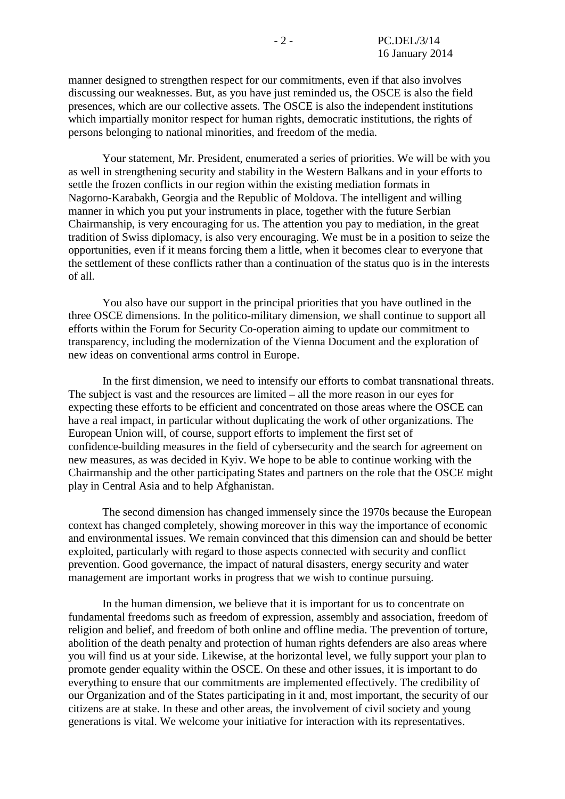manner designed to strengthen respect for our commitments, even if that also involves discussing our weaknesses. But, as you have just reminded us, the OSCE is also the field presences, which are our collective assets. The OSCE is also the independent institutions which impartially monitor respect for human rights, democratic institutions, the rights of persons belonging to national minorities, and freedom of the media.

Your statement, Mr. President, enumerated a series of priorities. We will be with you as well in strengthening security and stability in the Western Balkans and in your efforts to settle the frozen conflicts in our region within the existing mediation formats in Nagorno-Karabakh, Georgia and the Republic of Moldova. The intelligent and willing manner in which you put your instruments in place, together with the future Serbian Chairmanship, is very encouraging for us. The attention you pay to mediation, in the great tradition of Swiss diplomacy, is also very encouraging. We must be in a position to seize the opportunities, even if it means forcing them a little, when it becomes clear to everyone that the settlement of these conflicts rather than a continuation of the status quo is in the interests of all.

You also have our support in the principal priorities that you have outlined in the three OSCE dimensions. In the politico-military dimension, we shall continue to support all efforts within the Forum for Security Co-operation aiming to update our commitment to transparency, including the modernization of the Vienna Document and the exploration of new ideas on conventional arms control in Europe.

In the first dimension, we need to intensify our efforts to combat transnational threats. The subject is vast and the resources are limited – all the more reason in our eyes for expecting these efforts to be efficient and concentrated on those areas where the OSCE can have a real impact, in particular without duplicating the work of other organizations. The European Union will, of course, support efforts to implement the first set of confidence-building measures in the field of cybersecurity and the search for agreement on new measures, as was decided in Kyiv. We hope to be able to continue working with the Chairmanship and the other participating States and partners on the role that the OSCE might play in Central Asia and to help Afghanistan.

The second dimension has changed immensely since the 1970s because the European context has changed completely, showing moreover in this way the importance of economic and environmental issues. We remain convinced that this dimension can and should be better exploited, particularly with regard to those aspects connected with security and conflict prevention. Good governance, the impact of natural disasters, energy security and water management are important works in progress that we wish to continue pursuing.

In the human dimension, we believe that it is important for us to concentrate on fundamental freedoms such as freedom of expression, assembly and association, freedom of religion and belief, and freedom of both online and offline media. The prevention of torture, abolition of the death penalty and protection of human rights defenders are also areas where you will find us at your side. Likewise, at the horizontal level, we fully support your plan to promote gender equality within the OSCE. On these and other issues, it is important to do everything to ensure that our commitments are implemented effectively. The credibility of our Organization and of the States participating in it and, most important, the security of our citizens are at stake. In these and other areas, the involvement of civil society and young generations is vital. We welcome your initiative for interaction with its representatives.